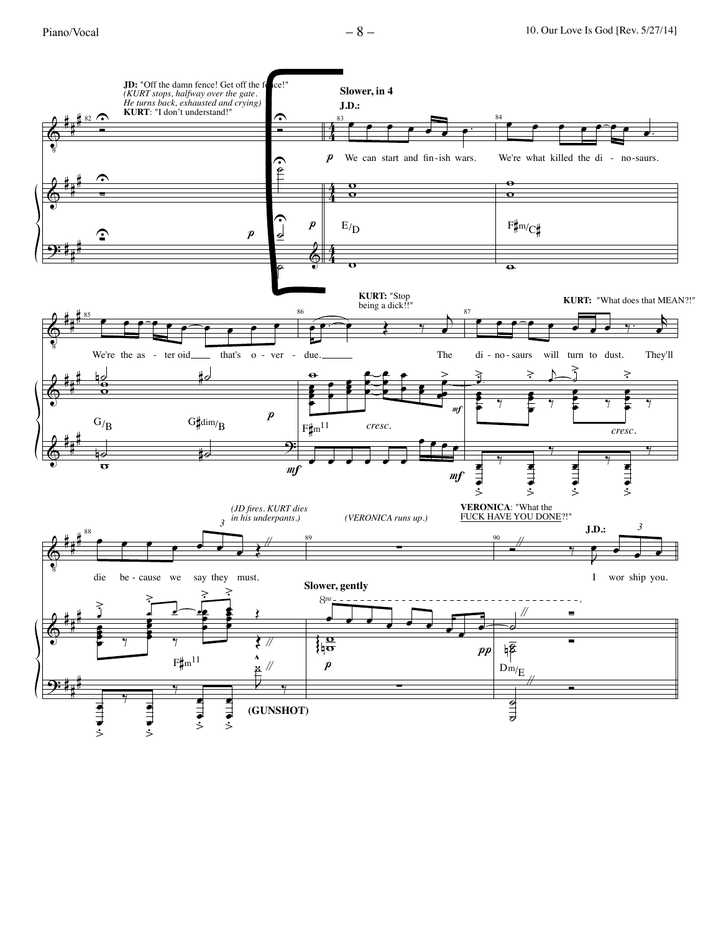